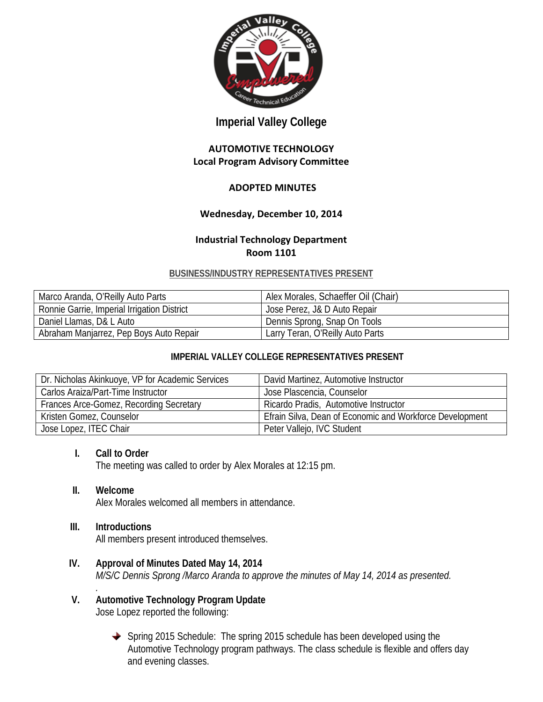

# **Imperial Valley College**

# **AUTOMOTIVE TECHNOLOGY Local Program Advisory Committee**

# **ADOPTED MINUTES**

# **Wednesday, December 10, 2014**

### **Industrial Technology Department Room 1101**

#### **BUSINESS/INDUSTRY REPRESENTATIVES PRESENT**

| Marco Aranda, O'Reilly Auto Parts           | Alex Morales, Schaeffer Oil (Chair) |
|---------------------------------------------|-------------------------------------|
| Ronnie Garrie, Imperial Irrigation District | Jose Perez, J& D Auto Repair        |
| Daniel Llamas, D& L Auto                    | Dennis Sprong, Snap On Tools        |
| Abraham Manjarrez, Pep Boys Auto Repair     | Larry Teran, O'Reilly Auto Parts    |

# **IMPERIAL VALLEY COLLEGE REPRESENTATIVES PRESENT**

| Dr. Nicholas Akinkuoye, VP for Academic Services | David Martinez, Automotive Instructor                    |
|--------------------------------------------------|----------------------------------------------------------|
| Carlos Araiza/Part-Time Instructor               | Jose Plascencia, Counselor                               |
| Frances Arce-Gomez, Recording Secretary          | Ricardo Pradis, Automotive Instructor                    |
| Kristen Gomez, Counselor                         | Efrain Silva, Dean of Economic and Workforce Development |
| Jose Lopez, ITEC Chair                           | Peter Vallejo, IVC Student                               |

### **I. Call to Order**

The meeting was called to order by Alex Morales at 12:15 pm.

#### **II. Welcome**

Alex Morales welcomed all members in attendance.

#### **III. Introductions**

All members present introduced themselves.

- **IV. Approval of Minutes Dated May 14, 2014** *M/S/C Dennis Sprong /Marco Aranda to approve the minutes of May 14, 2014 as presented.*
- *.* **V. Automotive Technology Program Update** Jose Lopez reported the following:
	- ◆ Spring 2015 Schedule: The spring 2015 schedule has been developed using the Automotive Technology program pathways. The class schedule is flexible and offers day and evening classes.